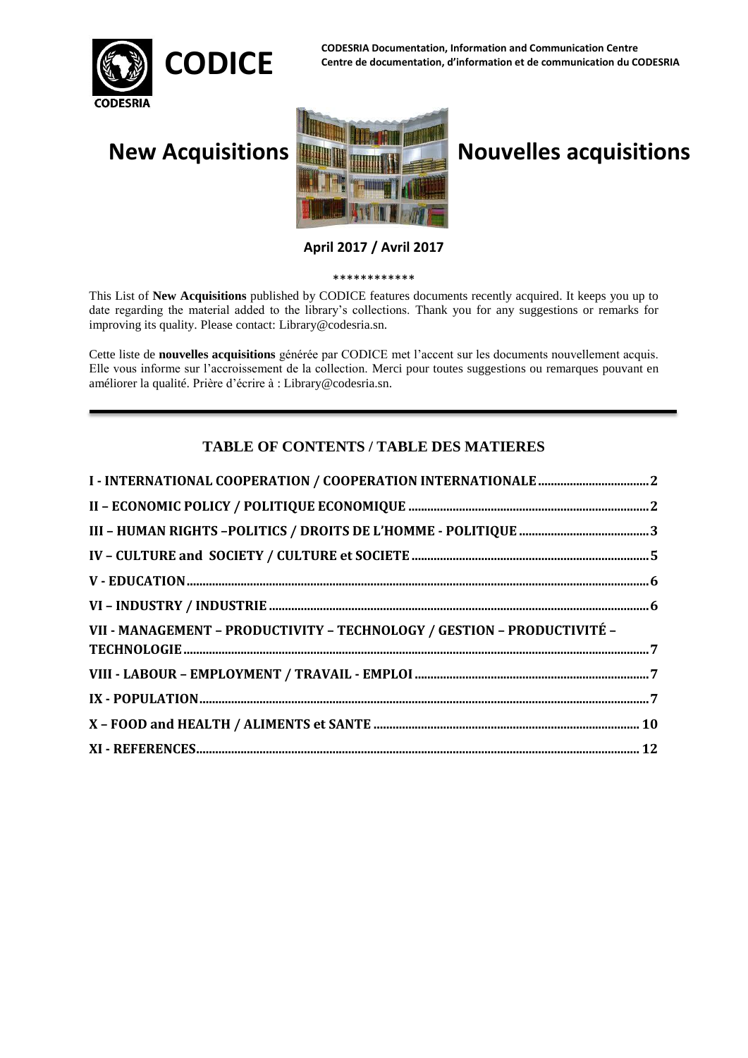

**CODESRIA Documentation, Information and Communication Centre**  CODICE CODESNIA Documentation, information and communication centre<br>CODICE Centre de documentation, d'information et de communication du CODESRIA



# **New Acquisitions Nouvelles acquisitions**

**April 2017 / Avril 2017**

\*\*\*\*\*\*\*\*\*\*\*\*

This List of **New Acquisitions** published by CODICE features documents recently acquired. It keeps you up to date regarding the material added to the library's collections. Thank you for any suggestions or remarks for improving its quality. Please contact: Library@codesria.sn.

Cette liste de **nouvelles acquisitions** générée par CODICE met l'accent sur les documents nouvellement acquis. Elle vous informe sur l'accroissement de la collection. Merci pour toutes suggestions ou remarques pouvant en améliorer la qualité. Prière d'écrire à : Library@codesria.sn.

## **TABLE OF CONTENTS / TABLE DES MATIERES**

| VII - MANAGEMENT - PRODUCTIVITY - TECHNOLOGY / GESTION - PRODUCTIVITÉ - |  |
|-------------------------------------------------------------------------|--|
|                                                                         |  |
|                                                                         |  |
|                                                                         |  |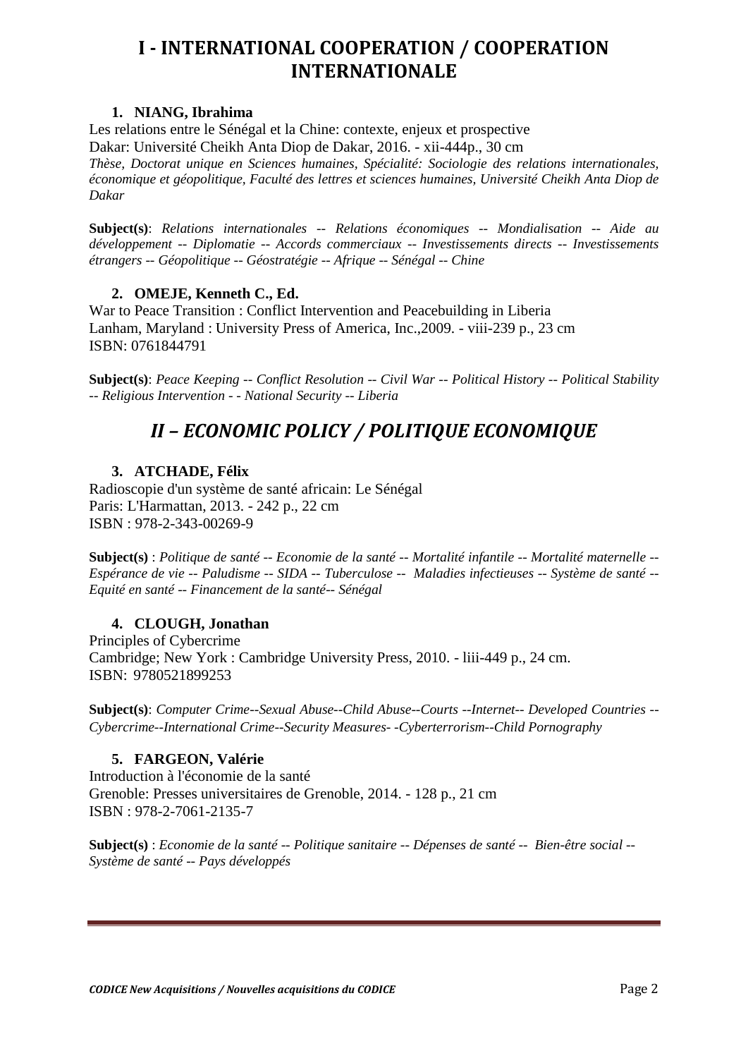## <span id="page-1-0"></span>**I - INTERNATIONAL COOPERATION / COOPERATION INTERNATIONALE**

## **1. NIANG, Ibrahima**

Les relations entre le Sénégal et la Chine: contexte, enjeux et prospective Dakar: Université Cheikh Anta Diop de Dakar, 2016. - xii-444p., 30 cm *Thèse, Doctorat unique en Sciences humaines, Spécialité: Sociologie des relations internationales, économique et géopolitique, Faculté des lettres et sciences humaines, Université Cheikh Anta Diop de Dakar*

**Subject(s)**: *Relations internationales -- Relations économiques -- Mondialisation -- Aide au développement -- Diplomatie -- Accords commerciaux -- Investissements directs -- Investissements étrangers -- Géopolitique -- Géostratégie -- Afrique -- Sénégal -- Chine*

## **2. OMEJE, Kenneth C., Ed.**

War to Peace Transition : Conflict Intervention and Peacebuilding in Liberia Lanham, Maryland : University Press of America, Inc.,2009. - viii-239 p., 23 cm ISBN: 0761844791

<span id="page-1-1"></span>**Subject(s)**: *Peace Keeping -- Conflict Resolution -- Civil War -- Political History -- Political Stability -- Religious Intervention - - National Security -- Liberia*

## *II – ECONOMIC POLICY / POLITIQUE ECONOMIQUE*

## **3. ATCHADE, Félix**

Radioscopie d'un système de santé africain: Le Sénégal Paris: L'Harmattan, 2013. - 242 p., 22 cm ISBN : 978-2-343-00269-9

**Subject(s)** : *Politique de santé -- Economie de la santé -- Mortalité infantile -- Mortalité maternelle -- Espérance de vie -- Paludisme -- SIDA -- Tuberculose -- Maladies infectieuses -- Système de santé -- Equité en santé -- Financement de la santé-- Sénégal*

## **4. CLOUGH, Jonathan**

Principles of Cybercrime Cambridge; New York : Cambridge University Press, 2010. - liii-449 p., 24 cm. ISBN: 9780521899253

**Subject(s)**: *Computer Crime--Sexual Abuse--Child Abuse--Courts --Internet-- Developed Countries -- Cybercrime--International Crime--Security Measures- -Cyberterrorism--Child Pornography*

## **5. FARGEON, Valérie**

Introduction à l'économie de la santé Grenoble: Presses universitaires de Grenoble, 2014. - 128 p., 21 cm ISBN : 978-2-7061-2135-7

**Subject(s)** : *Economie de la santé -- Politique sanitaire -- Dépenses de santé -- Bien-être social -- Système de santé -- Pays développés*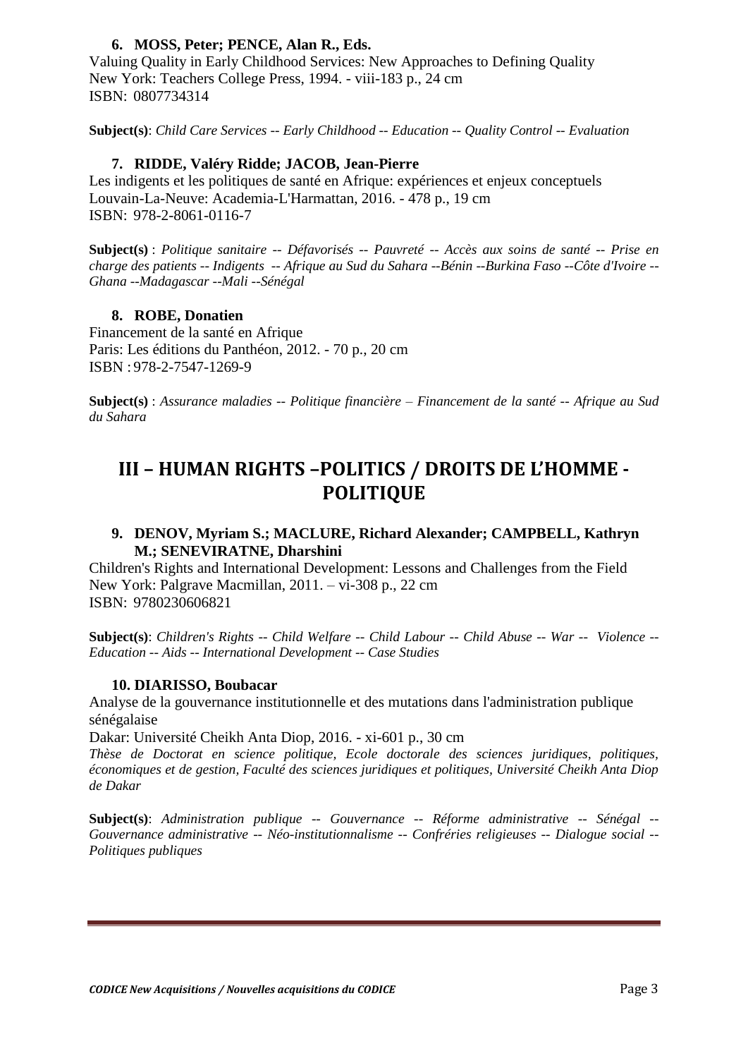## **6. MOSS, Peter; PENCE, Alan R., Eds.**

Valuing Quality in Early Childhood Services: New Approaches to Defining Quality New York: Teachers College Press, 1994. - viii-183 p., 24 cm ISBN: 0807734314

**Subject(s)**: *Child Care Services -- Early Childhood -- Education -- Quality Control -- Evaluation*

### **7. RIDDE, Valéry Ridde; JACOB, Jean-Pierre**

Les indigents et les politiques de santé en Afrique: expériences et enjeux conceptuels Louvain-La-Neuve: Academia-L'Harmattan, 2016. - 478 p., 19 cm ISBN: 978-2-8061-0116-7

**Subject(s)** : *Politique sanitaire -- Défavorisés -- Pauvreté -- Accès aux soins de santé -- Prise en charge des patients -- Indigents -- Afrique au Sud du Sahara --Bénin --Burkina Faso --Côte d'Ivoire -- Ghana --Madagascar --Mali --Sénégal* 

## **8. ROBE, Donatien**

Financement de la santé en Afrique Paris: Les éditions du Panthéon, 2012. - 70 p., 20 cm ISBN : 978-2-7547-1269-9

**Subject(s)** : *Assurance maladies -- Politique financière – Financement de la santé -- Afrique au Sud du Sahara*

## <span id="page-2-0"></span>**III – HUMAN RIGHTS –POLITICS / DROITS DE L'HOMME - POLITIQUE**

## **9. DENOV, Myriam S.; MACLURE, Richard Alexander; CAMPBELL, Kathryn M.; SENEVIRATNE, Dharshini**

Children's Rights and International Development: Lessons and Challenges from the Field New York: Palgrave Macmillan, 2011. – vi-308 p., 22 cm ISBN: 9780230606821

**Subject(s)**: *Children's Rights -- Child Welfare -- Child Labour -- Child Abuse -- War -- Violence -- Education -- Aids -- International Development -- Case Studies*

### **10. DIARISSO, Boubacar**

Analyse de la gouvernance institutionnelle et des mutations dans l'administration publique sénégalaise

Dakar: Université Cheikh Anta Diop, 2016. - xi-601 p., 30 cm

*Thèse de Doctorat en science politique, Ecole doctorale des sciences juridiques, politiques, économiques et de gestion, Faculté des sciences juridiques et politiques, Université Cheikh Anta Diop de Dakar*

**Subject(s)**: *Administration publique -- Gouvernance -- Réforme administrative -- Sénégal -- Gouvernance administrative -- Néo-institutionnalisme -- Confréries religieuses -- Dialogue social -- Politiques publiques*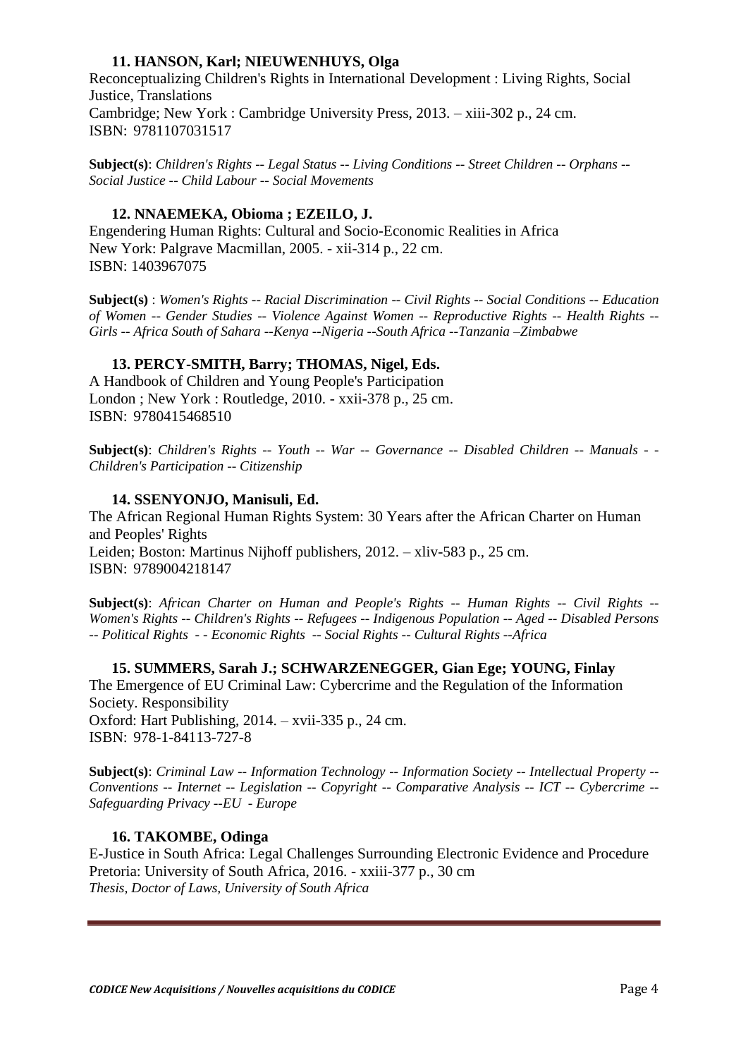## **11. HANSON, Karl; NIEUWENHUYS, Olga**

Reconceptualizing Children's Rights in International Development : Living Rights, Social Justice, Translations Cambridge; New York : Cambridge University Press, 2013. – xiii-302 p., 24 cm. ISBN: 9781107031517

**Subject(s)**: *Children's Rights -- Legal Status -- Living Conditions -- Street Children -- Orphans -- Social Justice -- Child Labour -- Social Movements*

### **12. NNAEMEKA, Obioma ; EZEILO, J.**

Engendering Human Rights: Cultural and Socio-Economic Realities in Africa New York: Palgrave Macmillan, 2005. - xii-314 p., 22 cm. ISBN: 1403967075

**Subject(s)** : *Women's Rights -- Racial Discrimination -- Civil Rights -- Social Conditions -- Education of Women -- Gender Studies -- Violence Against Women -- Reproductive Rights -- Health Rights -- Girls -- Africa South of Sahara --Kenya --Nigeria --South Africa --Tanzania –Zimbabwe*

## **13. PERCY-SMITH, Barry; THOMAS, Nigel, Eds.**

A Handbook of Children and Young People's Participation London ; New York : Routledge, 2010. - xxii-378 p., 25 cm. ISBN: 9780415468510

**Subject(s)**: *Children's Rights -- Youth -- War -- Governance -- Disabled Children -- Manuals - - Children's Participation -- Citizenship*

## **14. SSENYONJO, Manisuli, Ed.**

The African Regional Human Rights System: 30 Years after the African Charter on Human and Peoples' Rights Leiden; Boston: Martinus Nijhoff publishers, 2012. – xliv-583 p., 25 cm. ISBN: 9789004218147

**Subject(s)**: *African Charter on Human and People's Rights -- Human Rights -- Civil Rights -- Women's Rights -- Children's Rights -- Refugees -- Indigenous Population -- Aged -- Disabled Persons -- Political Rights - - Economic Rights -- Social Rights -- Cultural Rights --Africa*

**15. SUMMERS, Sarah J.; SCHWARZENEGGER, Gian Ege; YOUNG, Finlay** The Emergence of EU Criminal Law: Cybercrime and the Regulation of the Information Society. Responsibility Oxford: Hart Publishing, 2014. – xvii-335 p., 24 cm. ISBN: 978-1-84113-727-8

**Subject(s)**: *Criminal Law -- Information Technology -- Information Society -- Intellectual Property -- Conventions -- Internet -- Legislation -- Copyright -- Comparative Analysis -- ICT -- Cybercrime -- Safeguarding Privacy --EU - Europe*

### **16. TAKOMBE, Odinga**

E-Justice in South Africa: Legal Challenges Surrounding Electronic Evidence and Procedure Pretoria: University of South Africa, 2016. - xxiii-377 p., 30 cm *Thesis, Doctor of Laws, University of South Africa*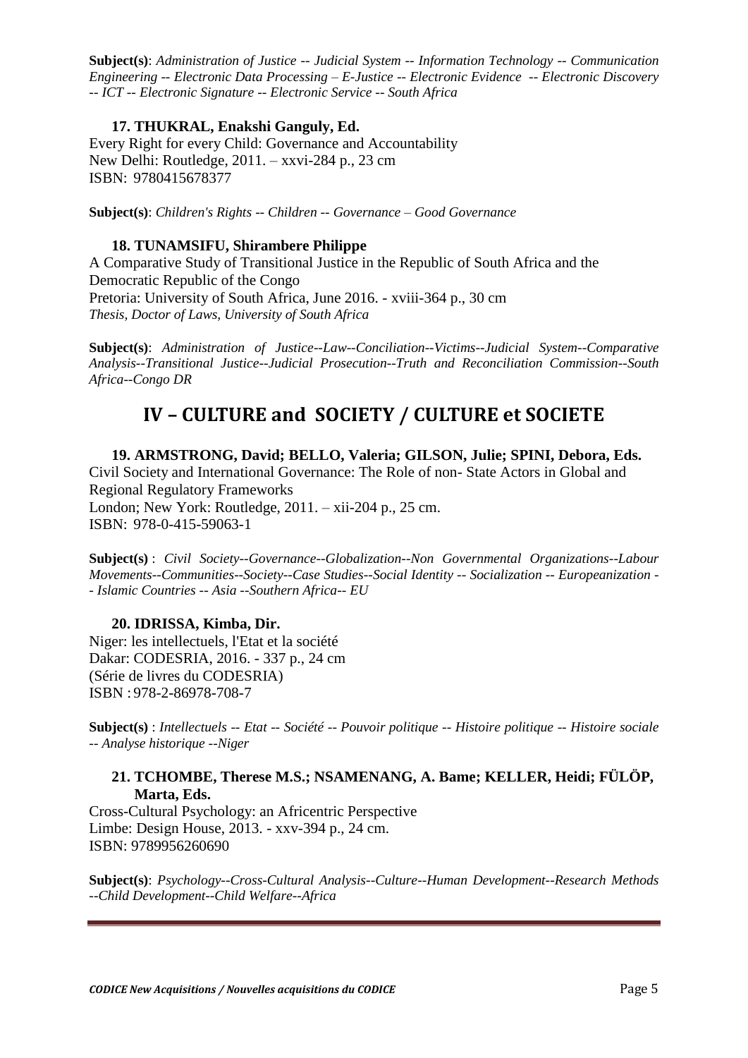**Subject(s)**: *Administration of Justice -- Judicial System -- Information Technology -- Communication Engineering -- Electronic Data Processing – E-Justice -- Electronic Evidence -- Electronic Discovery -- ICT -- Electronic Signature -- Electronic Service -- South Africa*

## **17. THUKRAL, Enakshi Ganguly, Ed.**

Every Right for every Child: Governance and Accountability New Delhi: Routledge, 2011. – xxvi-284 p., 23 cm ISBN: 9780415678377

**Subject(s)**: *Children's Rights -- Children -- Governance – Good Governance*

### **18. TUNAMSIFU, Shirambere Philippe**

A Comparative Study of Transitional Justice in the Republic of South Africa and the Democratic Republic of the Congo Pretoria: University of South Africa, June 2016. - xviii-364 p., 30 cm *Thesis, Doctor of Laws, University of South Africa*

<span id="page-4-0"></span>**Subject(s)**: *Administration of Justice--Law--Conciliation--Victims--Judicial System--Comparative Analysis--Transitional Justice--Judicial Prosecution--Truth and Reconciliation Commission--South Africa--Congo DR*

## **IV – CULTURE and SOCIETY / CULTURE et SOCIETE**

**19. ARMSTRONG, David; BELLO, Valeria; GILSON, Julie; SPINI, Debora, Eds.** Civil Society and International Governance: The Role of non- State Actors in Global and Regional Regulatory Frameworks London; New York: Routledge, 2011. – xii-204 p., 25 cm. ISBN: 978-0-415-59063-1

**Subject(s)** : *Civil Society--Governance--Globalization--Non Governmental Organizations--Labour Movements--Communities--Society--Case Studies--Social Identity -- Socialization -- Europeanization - - Islamic Countries -- Asia --Southern Africa-- EU* 

### **20. IDRISSA, Kimba, Dir.**

Niger: les intellectuels, l'Etat et la société Dakar: CODESRIA, 2016. - 337 p., 24 cm (Série de livres du CODESRIA) ISBN : 978-2-86978-708-7

**Subject(s)** : *Intellectuels -- Etat -- Société -- Pouvoir politique -- Histoire politique -- Histoire sociale -- Analyse historique --Niger*

## **21. TCHOMBE, Therese M.S.; NSAMENANG, A. Bame; KELLER, Heidi; FÜLÖP, Marta, Eds.**

Cross-Cultural Psychology: an Africentric Perspective Limbe: Design House, 2013. - xxv-394 p., 24 cm. ISBN: 9789956260690

**Subject(s)**: *Psychology--Cross-Cultural Analysis--Culture--Human Development--Research Methods --Child Development--Child Welfare--Africa*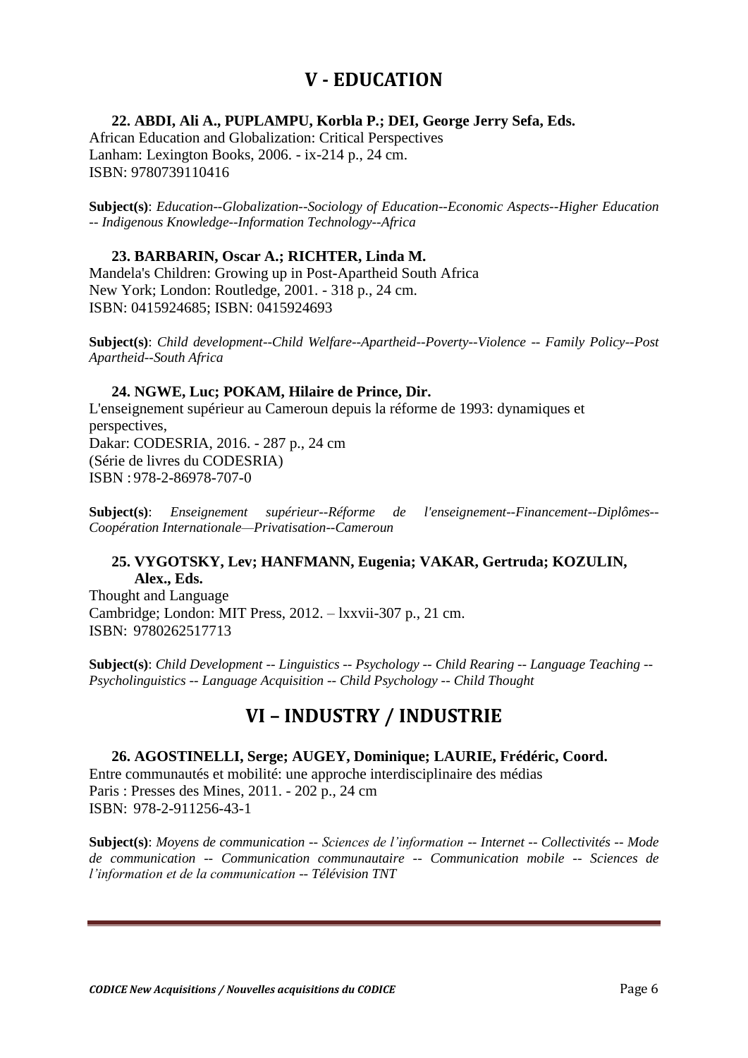## **V - EDUCATION**

<span id="page-5-0"></span>**22. ABDI, Ali A., PUPLAMPU, Korbla P.; DEI, George Jerry Sefa, Eds.** 

African Education and Globalization: Critical Perspectives Lanham: Lexington Books, 2006. - ix-214 p., 24 cm. ISBN: 9780739110416

**Subject(s)**: *Education--Globalization--Sociology of Education--Economic Aspects--Higher Education -- Indigenous Knowledge--Information Technology--Africa*

## **23. BARBARIN, Oscar A.; RICHTER, Linda M.**

Mandela's Children: Growing up in Post-Apartheid South Africa New York; London: Routledge, 2001. - 318 p., 24 cm. ISBN: 0415924685; ISBN: 0415924693

**Subject(s)**: *Child development--Child Welfare--Apartheid--Poverty--Violence -- Family Policy--Post Apartheid--South Africa*

### **24. NGWE, Luc; POKAM, Hilaire de Prince, Dir.**

L'enseignement supérieur au Cameroun depuis la réforme de 1993: dynamiques et perspectives, Dakar: CODESRIA, 2016. - 287 p., 24 cm (Série de livres du CODESRIA) ISBN : 978-2-86978-707-0

**Subject(s)**: *Enseignement supérieur--Réforme de l'enseignement--Financement--Diplômes-- Coopération Internationale—Privatisation--Cameroun* 

## **25. VYGOTSKY, Lev; HANFMANN, Eugenia; VAKAR, Gertruda; KOZULIN, Alex., Eds.**

Thought and Language Cambridge; London: MIT Press, 2012. – lxxvii-307 p., 21 cm. ISBN: 9780262517713

<span id="page-5-1"></span>**Subject(s)**: *Child Development -- Linguistics -- Psychology -- Child Rearing -- Language Teaching -- Psycholinguistics -- Language Acquisition -- Child Psychology -- Child Thought*

## **VI – INDUSTRY / INDUSTRIE**

**26. AGOSTINELLI, Serge; AUGEY, Dominique; LAURIE, Frédéric, Coord.** Entre communautés et mobilité: une approche interdisciplinaire des médias Paris : Presses des Mines, 2011. - 202 p., 24 cm ISBN: 978-2-911256-43-1

**Subject(s)**: *Moyens de communication -- Sciences de l'information -- Internet -- Collectivités -- Mode de communication -- Communication communautaire -- Communication mobile -- Sciences de l'information et de la communication -- Télévision TNT*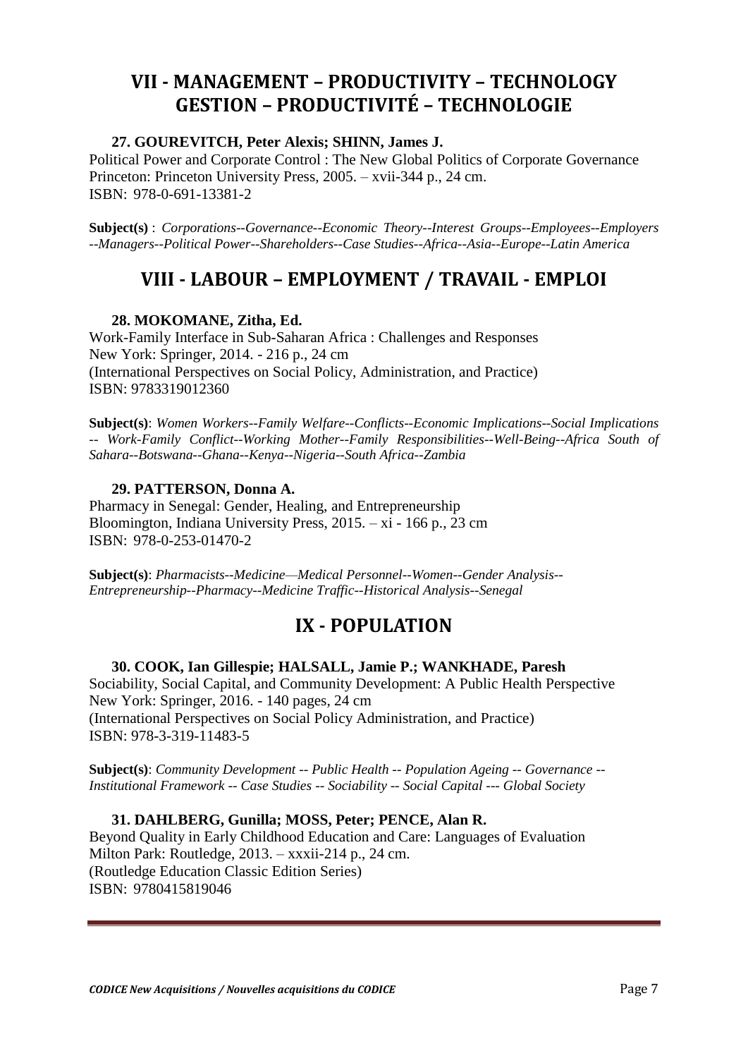## <span id="page-6-1"></span><span id="page-6-0"></span>**VII - MANAGEMENT – PRODUCTIVITY – TECHNOLOGY GESTION – PRODUCTIVITÉ – TECHNOLOGIE**

## **27. GOUREVITCH, Peter Alexis; SHINN, James J.**

Political Power and Corporate Control : The New Global Politics of Corporate Governance Princeton: Princeton University Press, 2005. – xvii-344 p., 24 cm. ISBN: 978-0-691-13381-2

<span id="page-6-2"></span>**Subject(s)** : *Corporations--Governance--Economic Theory--Interest Groups--Employees--Employers --Managers--Political Power--Shareholders--Case Studies--Africa--Asia--Europe--Latin America*

## **VIII - LABOUR – EMPLOYMENT / TRAVAIL - EMPLOI**

## **28. MOKOMANE, Zitha, Ed.**

Work-Family Interface in Sub-Saharan Africa : Challenges and Responses New York: Springer, 2014. - 216 p., 24 cm (International Perspectives on Social Policy, Administration, and Practice) ISBN: 9783319012360

**Subject(s)**: *Women Workers--Family Welfare--Conflicts--Economic Implications--Social Implications -- Work-Family Conflict--Working Mother--Family Responsibilities--Well-Being--Africa South of Sahara--Botswana--Ghana--Kenya--Nigeria--South Africa--Zambia*

## **29. PATTERSON, Donna A.**

Pharmacy in Senegal: Gender, Healing, and Entrepreneurship Bloomington, Indiana University Press, 2015. – xi - 166 p., 23 cm ISBN: 978-0-253-01470-2

<span id="page-6-3"></span>**Subject(s)**: *Pharmacists--Medicine—Medical Personnel--Women--Gender Analysis-- Entrepreneurship--Pharmacy--Medicine Traffic--Historical Analysis--Senegal* 

## **IX - POPULATION**

## **30. COOK, Ian Gillespie; HALSALL, Jamie P.; WANKHADE, Paresh**

Sociability, Social Capital, and Community Development: A Public Health Perspective New York: Springer, 2016. - 140 pages, 24 cm (International Perspectives on Social Policy Administration, and Practice) ISBN: 978-3-319-11483-5

**Subject(s)**: *Community Development -- Public Health -- Population Ageing -- Governance -- Institutional Framework -- Case Studies -- Sociability -- Social Capital --- Global Society*

**31. DAHLBERG, Gunilla; MOSS, Peter; PENCE, Alan R.**  Beyond Quality in Early Childhood Education and Care: Languages of Evaluation Milton Park: Routledge, 2013. – xxxii-214 p., 24 cm. (Routledge Education Classic Edition Series) ISBN: 9780415819046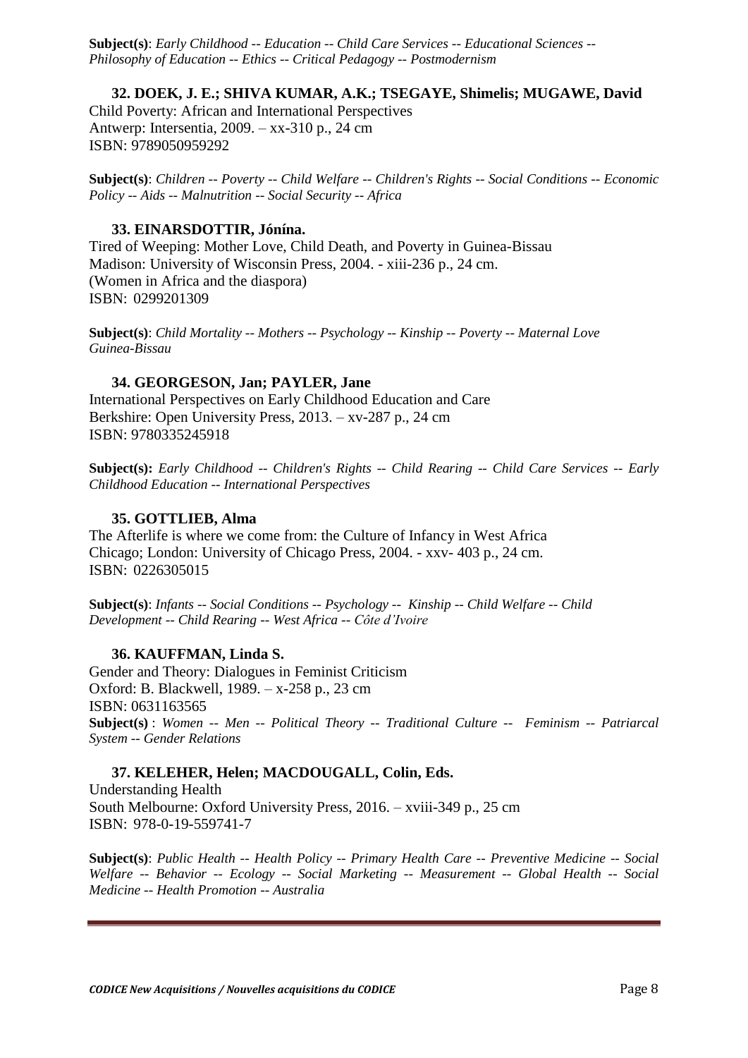**Subject(s)**: *Early Childhood -- Education -- Child Care Services -- Educational Sciences -- Philosophy of Education -- Ethics -- Critical Pedagogy -- Postmodernism* 

### **32. DOEK, J. E.; SHIVA KUMAR, A.K.; TSEGAYE, Shimelis; MUGAWE, David**

Child Poverty: African and International Perspectives Antwerp: Intersentia, 2009. – xx-310 p., 24 cm ISBN: 9789050959292

**Subject(s)**: *Children -- Poverty -- Child Welfare -- Children's Rights -- Social Conditions -- Economic Policy -- Aids -- Malnutrition -- Social Security -- Africa*

#### **33. EINARSDOTTIR, Jónína.**

Tired of Weeping: Mother Love, Child Death, and Poverty in Guinea-Bissau Madison: University of Wisconsin Press, 2004. - xiii-236 p., 24 cm. (Women in Africa and the diaspora) ISBN: 0299201309

**Subject(s)**: *Child Mortality -- Mothers -- Psychology -- Kinship -- Poverty -- Maternal Love Guinea-Bissau*

#### **34. GEORGESON, Jan; PAYLER, Jane**

International Perspectives on Early Childhood Education and Care Berkshire: Open University Press, 2013. – xv-287 p., 24 cm ISBN: 9780335245918

**Subject(s):** *Early Childhood -- Children's Rights -- Child Rearing -- Child Care Services -- Early Childhood Education -- International Perspectives* 

#### **35. GOTTLIEB, Alma**

The Afterlife is where we come from: the Culture of Infancy in West Africa Chicago; London: University of Chicago Press, 2004. - xxv- 403 p., 24 cm. ISBN: 0226305015

**Subject(s)**: *Infants -- Social Conditions -- Psychology -- Kinship -- Child Welfare -- Child Development -- Child Rearing -- West Africa -- Côte d'Ivoire*

#### **36. KAUFFMAN, Linda S.**

Gender and Theory: Dialogues in Feminist Criticism Oxford: B. Blackwell, 1989. – x-258 p., 23 cm ISBN: 0631163565 **Subject(s)** : *Women -- Men -- Political Theory -- Traditional Culture -- Feminism -- Patriarcal System -- Gender Relations*

#### **37. KELEHER, Helen; MACDOUGALL, Colin, Eds.**

Understanding Health South Melbourne: Oxford University Press, 2016. – xviii-349 p., 25 cm ISBN: 978-0-19-559741-7

**Subject(s)**: *Public Health -- Health Policy -- Primary Health Care -- Preventive Medicine -- Social Welfare -- Behavior -- Ecology -- Social Marketing -- Measurement -- Global Health -- Social Medicine -- Health Promotion -- Australia*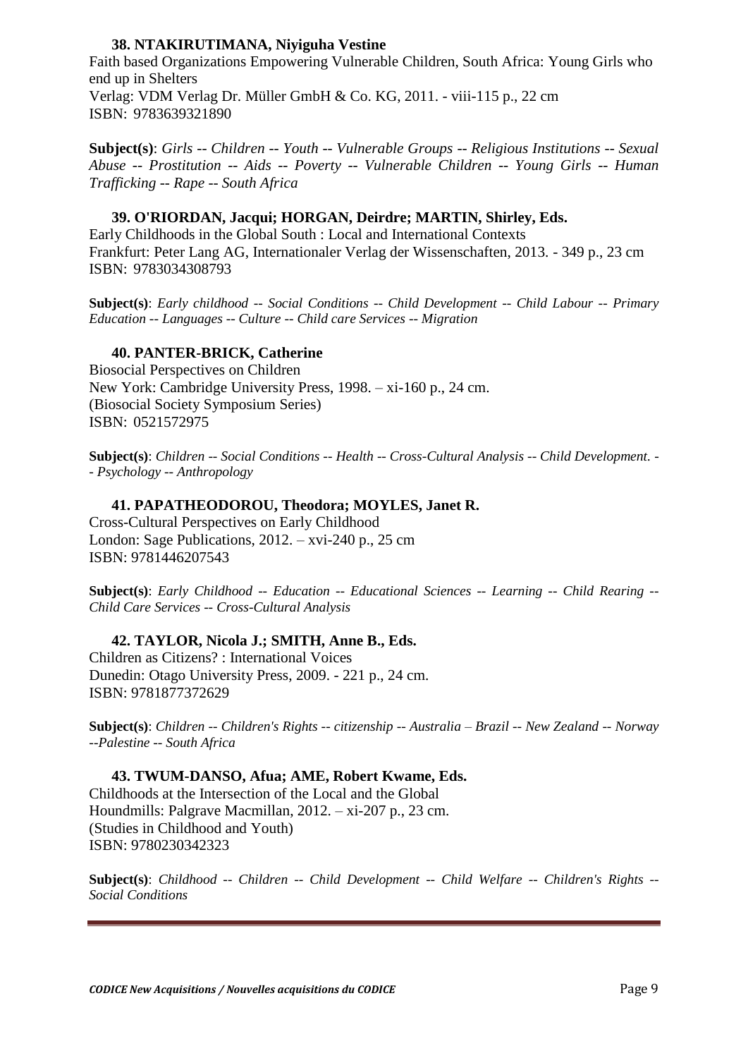### **38. NTAKIRUTIMANA, Niyiguha Vestine**

Faith based Organizations Empowering Vulnerable Children, South Africa: Young Girls who end up in Shelters Verlag: VDM Verlag Dr. Müller GmbH & Co. KG, 2011. - viii-115 p., 22 cm ISBN: 9783639321890

**Subject(s)**: *Girls -- Children -- Youth -- Vulnerable Groups -- Religious Institutions -- Sexual Abuse -- Prostitution -- Aids -- Poverty -- Vulnerable Children -- Young Girls -- Human Trafficking -- Rape -- South Africa*

**39. O'RIORDAN, Jacqui; HORGAN, Deirdre; MARTIN, Shirley, Eds.** Early Childhoods in the Global South : Local and International Contexts Frankfurt: Peter Lang AG, Internationaler Verlag der Wissenschaften, 2013. - 349 p., 23 cm ISBN: 9783034308793

**Subject(s)**: *Early childhood -- Social Conditions -- Child Development -- Child Labour -- Primary Education -- Languages -- Culture -- Child care Services -- Migration*

#### **40. PANTER-BRICK, Catherine**

Biosocial Perspectives on Children New York: Cambridge University Press, 1998. – xi-160 p., 24 cm. (Biosocial Society Symposium Series) ISBN: 0521572975

**Subject(s)**: *Children -- Social Conditions -- Health -- Cross-Cultural Analysis -- Child Development. - - Psychology -- Anthropology*

#### **41. PAPATHEODOROU, Theodora; MOYLES, Janet R.**

Cross-Cultural Perspectives on Early Childhood London: Sage Publications, 2012. – xvi-240 p., 25 cm ISBN: 9781446207543

**Subject(s)**: *Early Childhood -- Education -- Educational Sciences -- Learning -- Child Rearing -- Child Care Services -- Cross-Cultural Analysis*

**42. TAYLOR, Nicola J.; SMITH, Anne B., Eds.** Children as Citizens? : International Voices Dunedin: Otago University Press, 2009. - 221 p., 24 cm. ISBN: 9781877372629

**Subject(s)**: *Children -- Children's Rights -- citizenship -- Australia – Brazil -- New Zealand -- Norway --Palestine -- South Africa*

## **43. TWUM-DANSO, Afua; AME, Robert Kwame, Eds.**

Childhoods at the Intersection of the Local and the Global Houndmills: Palgrave Macmillan, 2012. – xi-207 p., 23 cm. (Studies in Childhood and Youth) ISBN: 9780230342323

**Subject(s)**: *Childhood -- Children -- Child Development -- Child Welfare -- Children's Rights -- Social Conditions*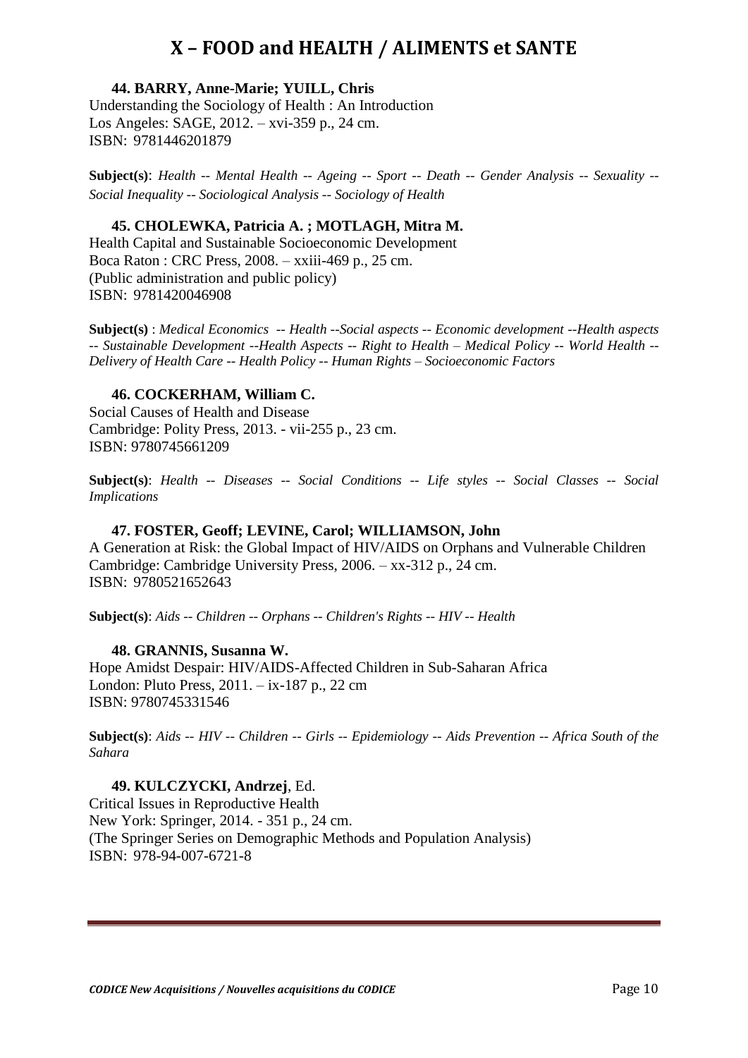## **X – FOOD and HEALTH / ALIMENTS et SANTE**

<span id="page-9-0"></span>**44. BARRY, Anne-Marie; YUILL, Chris** Understanding the Sociology of Health : An Introduction Los Angeles: SAGE, 2012. – xvi-359 p., 24 cm. ISBN: 9781446201879

**Subject(s)**: *Health -- Mental Health -- Ageing -- Sport -- Death -- Gender Analysis -- Sexuality -- Social Inequality -- Sociological Analysis -- Sociology of Health* 

### **45. CHOLEWKA, Patricia A. ; MOTLAGH, Mitra M.**

Health Capital and Sustainable Socioeconomic Development Boca Raton : CRC Press, 2008. – xxiii-469 p., 25 cm. (Public administration and public policy) ISBN: 9781420046908

**Subject(s)** : *Medical Economics -- Health --Social aspects -- Economic development --Health aspects -- Sustainable Development --Health Aspects -- Right to Health – Medical Policy -- World Health -- Delivery of Health Care -- Health Policy -- Human Rights – Socioeconomic Factors*

#### **46. COCKERHAM, William C.**

Social Causes of Health and Disease Cambridge: Polity Press, 2013. - vii-255 p., 23 cm. ISBN: 9780745661209

**Subject(s)**: *Health -- Diseases -- Social Conditions -- Life styles -- Social Classes -- Social Implications*

#### **47. FOSTER, Geoff; LEVINE, Carol; WILLIAMSON, John**

A Generation at Risk: the Global Impact of HIV/AIDS on Orphans and Vulnerable Children Cambridge: Cambridge University Press, 2006. – xx-312 p., 24 cm. ISBN: 9780521652643

**Subject(s)**: *Aids -- Children -- Orphans -- Children's Rights -- HIV -- Health*

#### **48. GRANNIS, Susanna W.**

Hope Amidst Despair: HIV/AIDS-Affected Children in Sub-Saharan Africa London: Pluto Press, 2011. – ix-187 p., 22 cm ISBN: 9780745331546

**Subject(s)**: *Aids -- HIV -- Children -- Girls -- Epidemiology -- Aids Prevention -- Africa South of the Sahara*

**49. KULCZYCKI, Andrzej**, Ed. Critical Issues in Reproductive Health New York: Springer, 2014. - 351 p., 24 cm. (The Springer Series on Demographic Methods and Population Analysis) ISBN: 978-94-007-6721-8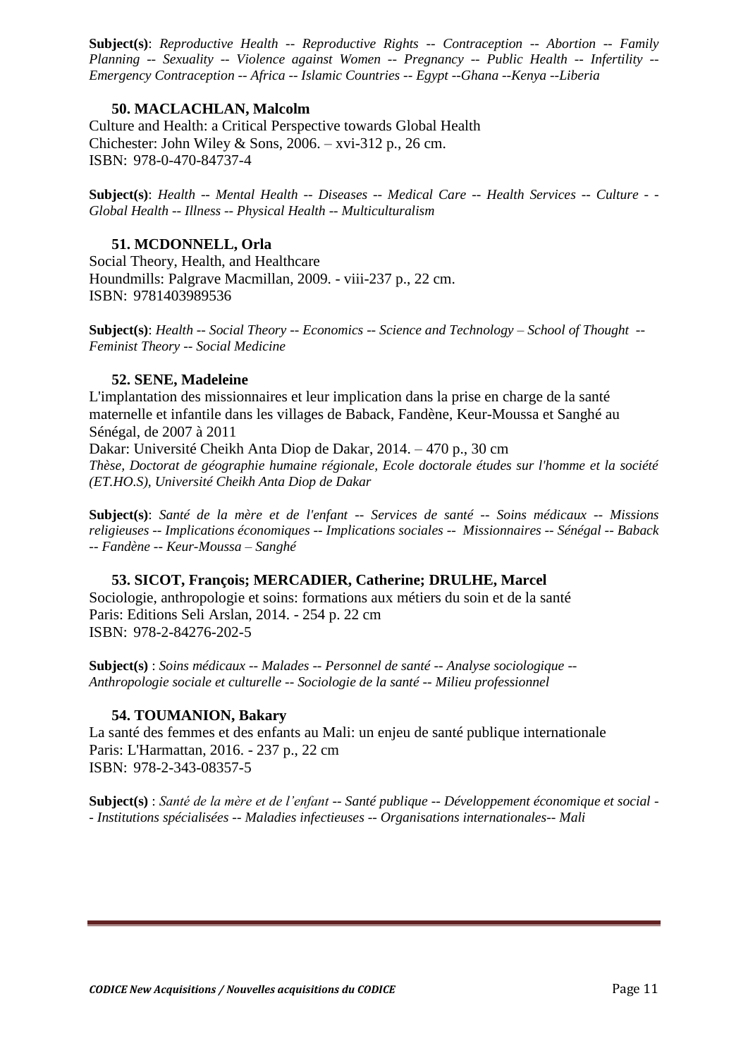**Subject(s)**: *Reproductive Health -- Reproductive Rights -- Contraception -- Abortion -- Family Planning -- Sexuality -- Violence against Women -- Pregnancy -- Public Health -- Infertility -- Emergency Contraception -- Africa -- Islamic Countries -- Egypt --Ghana --Kenya --Liberia*

## **50. MACLACHLAN, Malcolm**

Culture and Health: a Critical Perspective towards Global Health Chichester: John Wiley & Sons,  $2006. - xvi-312p.$ , 26 cm. ISBN: 978-0-470-84737-4

**Subject(s)**: *Health -- Mental Health -- Diseases -- Medical Care -- Health Services -- Culture - - Global Health -- Illness -- Physical Health -- Multiculturalism*

### **51. MCDONNELL, Orla**

Social Theory, Health, and Healthcare Houndmills: Palgrave Macmillan, 2009. - viii-237 p., 22 cm. ISBN: 9781403989536

**Subject(s)**: *Health -- Social Theory -- Economics -- Science and Technology – School of Thought -- Feminist Theory -- Social Medicine*

### **52. SENE, Madeleine**

L'implantation des missionnaires et leur implication dans la prise en charge de la santé maternelle et infantile dans les villages de Baback, Fandène, Keur-Moussa et Sanghé au Sénégal, de 2007 à 2011

Dakar: Université Cheikh Anta Diop de Dakar, 2014. – 470 p., 30 cm *Thèse, Doctorat de géographie humaine régionale, Ecole doctorale études sur l'homme et la société (ET.HO.S), Université Cheikh Anta Diop de Dakar*

**Subject(s)**: *Santé de la mère et de l'enfant -- Services de santé -- Soins médicaux -- Missions religieuses -- Implications économiques -- Implications sociales -- Missionnaires -- Sénégal -- Baback -- Fandène -- Keur-Moussa – Sanghé*

### **53. SICOT, François; MERCADIER, Catherine; DRULHE, Marcel**

Sociologie, anthropologie et soins: formations aux métiers du soin et de la santé Paris: Editions Seli Arslan, 2014. - 254 p. 22 cm ISBN: 978-2-84276-202-5

**Subject(s)** : *Soins médicaux -- Malades -- Personnel de santé -- Analyse sociologique -- Anthropologie sociale et culturelle -- Sociologie de la santé -- Milieu professionnel*

### **54. TOUMANION, Bakary**

La santé des femmes et des enfants au Mali: un enjeu de santé publique internationale Paris: L'Harmattan, 2016. - 237 p., 22 cm ISBN: 978-2-343-08357-5

**Subject(s)** : *Santé de la mère et de l'enfant -- Santé publique -- Développement économique et social - - Institutions spécialisées -- Maladies infectieuses -- Organisations internationales-- Mali*